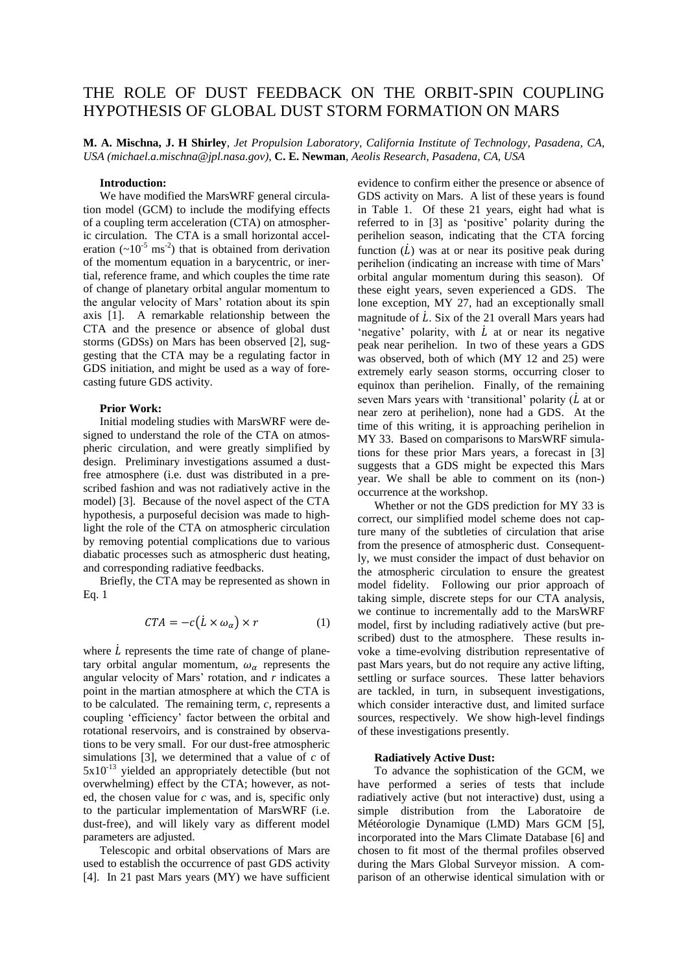# THE ROLE OF DUST FEEDBACK ON THE ORBIT-SPIN COUPLING HYPOTHESIS OF GLOBAL DUST STORM FORMATION ON MARS

**M. A. Mischna, J. H Shirley**, *Jet Propulsion Laboratory, California Institute of Technology, Pasadena, CA, USA (michael.a.mischna@jpl.nasa.gov)*, **C. E. Newman**, *Aeolis Research, Pasadena, CA, USA*

## **Introduction:**

We have modified the MarsWRF general circulation model (GCM) to include the modifying effects of a coupling term acceleration (CTA) on atmospheric circulation. The CTA is a small horizontal acceleration  $({\sim}10^{-5} \text{ ms}^{-2})$  that is obtained from derivation of the momentum equation in a barycentric, or inertial, reference frame, and which couples the time rate of change of planetary orbital angular momentum to the angular velocity of Mars' rotation about its spin axis [1]. A remarkable relationship between the CTA and the presence or absence of global dust storms (GDSs) on Mars has been observed [2], suggesting that the CTA may be a regulating factor in GDS initiation, and might be used as a way of forecasting future GDS activity.

## **Prior Work:**

Initial modeling studies with MarsWRF were designed to understand the role of the CTA on atmospheric circulation, and were greatly simplified by design. Preliminary investigations assumed a dustfree atmosphere (i.e. dust was distributed in a prescribed fashion and was not radiatively active in the model) [3]. Because of the novel aspect of the CTA hypothesis, a purposeful decision was made to highlight the role of the CTA on atmospheric circulation by removing potential complications due to various diabatic processes such as atmospheric dust heating, and corresponding radiative feedbacks.

Briefly, the CTA may be represented as shown in Eq. 1

$$
CTA = -c(L \times \omega_{\alpha}) \times r \tag{1}
$$

where  $\dot{L}$  represents the time rate of change of planetary orbital angular momentum,  $\omega_{\alpha}$  represents the angular velocity of Mars' rotation, and *r* indicates a point in the martian atmosphere at which the CTA is to be calculated. The remaining term, *c*, represents a coupling 'efficiency' factor between the orbital and rotational reservoirs, and is constrained by observations to be very small. For our dust-free atmospheric simulations [3], we determined that a value of  $c$  of 5x10-13 yielded an appropriately detectible (but not overwhelming) effect by the CTA; however, as noted, the chosen value for *c* was, and is, specific only to the particular implementation of MarsWRF (i.e. dust-free), and will likely vary as different model parameters are adjusted.

Telescopic and orbital observations of Mars are used to establish the occurrence of past GDS activity [4]. In 21 past Mars years (MY) we have sufficient evidence to confirm either the presence or absence of GDS activity on Mars. A list of these years is found in Table 1. Of these 21 years, eight had what is referred to in [3] as 'positive' polarity during the perihelion season, indicating that the CTA forcing function  $(L)$  was at or near its positive peak during perihelion (indicating an increase with time of Mars' orbital angular momentum during this season). Of these eight years, seven experienced a GDS. The lone exception, MY 27, had an exceptionally small magnitude of  $\dot{L}$ . Six of the 21 overall Mars years had 'negative' polarity, with  $\dot{L}$  at or near its negative peak near perihelion. In two of these years a GDS was observed, both of which (MY 12 and 25) were extremely early season storms, occurring closer to equinox than perihelion. Finally, of the remaining seven Mars years with 'transitional' polarity  $(\dot{L}$  at or near zero at perihelion), none had a GDS. At the time of this writing, it is approaching perihelion in MY 33. Based on comparisons to MarsWRF simulations for these prior Mars years, a forecast in [3] suggests that a GDS might be expected this Mars year. We shall be able to comment on its (non-) occurrence at the workshop.

Whether or not the GDS prediction for MY 33 is correct, our simplified model scheme does not capture many of the subtleties of circulation that arise from the presence of atmospheric dust. Consequently, we must consider the impact of dust behavior on the atmospheric circulation to ensure the greatest model fidelity. Following our prior approach of taking simple, discrete steps for our CTA analysis, we continue to incrementally add to the MarsWRF model, first by including radiatively active (but prescribed) dust to the atmosphere. These results invoke a time-evolving distribution representative of past Mars years, but do not require any active lifting, settling or surface sources. These latter behaviors are tackled, in turn, in subsequent investigations, which consider interactive dust, and limited surface sources, respectively. We show high-level findings of these investigations presently.

#### **Radiatively Active Dust:**

To advance the sophistication of the GCM, we have performed a series of tests that include radiatively active (but not interactive) dust, using a simple distribution from the Laboratoire de Météorologie Dynamique (LMD) Mars GCM [5], incorporated into the Mars Climate Database [6] and chosen to fit most of the thermal profiles observed during the Mars Global Surveyor mission. A comparison of an otherwise identical simulation with or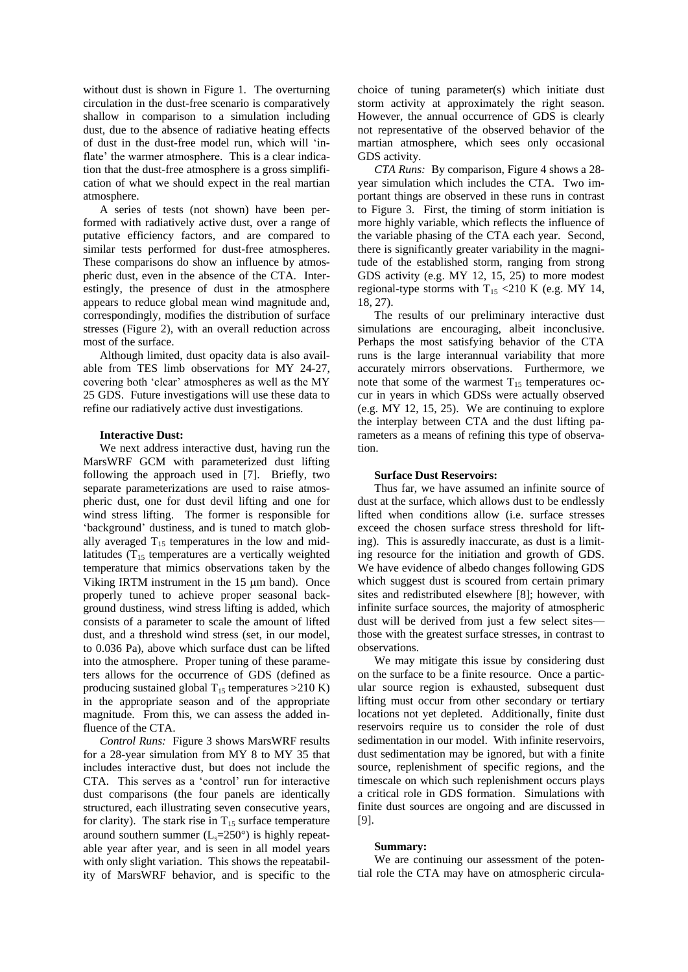without dust is shown in Figure 1. The overturning circulation in the dust-free scenario is comparatively shallow in comparison to a simulation including dust, due to the absence of radiative heating effects of dust in the dust-free model run, which will 'inflate' the warmer atmosphere. This is a clear indication that the dust-free atmosphere is a gross simplification of what we should expect in the real martian atmosphere.

A series of tests (not shown) have been performed with radiatively active dust, over a range of putative efficiency factors, and are compared to similar tests performed for dust-free atmospheres. These comparisons do show an influence by atmospheric dust, even in the absence of the CTA. Interestingly, the presence of dust in the atmosphere appears to reduce global mean wind magnitude and, correspondingly, modifies the distribution of surface stresses (Figure 2), with an overall reduction across most of the surface.

Although limited, dust opacity data is also available from TES limb observations for MY 24-27, covering both 'clear' atmospheres as well as the MY 25 GDS. Future investigations will use these data to refine our radiatively active dust investigations.

## **Interactive Dust:**

We next address interactive dust, having run the MarsWRF GCM with parameterized dust lifting following the approach used in [7]. Briefly, two separate parameterizations are used to raise atmospheric dust, one for dust devil lifting and one for wind stress lifting. The former is responsible for 'background' dustiness, and is tuned to match globally averaged  $T_{15}$  temperatures in the low and midlatitudes  $(T_{15}$  temperatures are a vertically weighted temperature that mimics observations taken by the Viking IRTM instrument in the  $15 \mu m$  band). Once properly tuned to achieve proper seasonal background dustiness, wind stress lifting is added, which consists of a parameter to scale the amount of lifted dust, and a threshold wind stress (set, in our model, to 0.036 Pa), above which surface dust can be lifted into the atmosphere. Proper tuning of these parameters allows for the occurrence of GDS (defined as producing sustained global  $T_{15}$  temperatures >210 K) in the appropriate season and of the appropriate magnitude. From this, we can assess the added influence of the CTA.

*Control Runs:* Figure 3 shows MarsWRF results for a 28-year simulation from MY 8 to MY 35 that includes interactive dust, but does not include the CTA. This serves as a 'control' run for interactive dust comparisons (the four panels are identically structured, each illustrating seven consecutive years, for clarity). The stark rise in  $T_{15}$  surface temperature around southern summer  $(L_s=250^\circ)$  is highly repeatable year after year, and is seen in all model years with only slight variation. This shows the repeatability of MarsWRF behavior, and is specific to the

choice of tuning parameter(s) which initiate dust storm activity at approximately the right season. However, the annual occurrence of GDS is clearly not representative of the observed behavior of the martian atmosphere, which sees only occasional GDS activity.

*CTA Runs:* By comparison, Figure 4 shows a 28 year simulation which includes the CTA. Two important things are observed in these runs in contrast to Figure 3. First, the timing of storm initiation is more highly variable, which reflects the influence of the variable phasing of the CTA each year. Second, there is significantly greater variability in the magnitude of the established storm, ranging from strong GDS activity (e.g. MY 12, 15, 25) to more modest regional-type storms with  $T_{15}$  <210 K (e.g. MY 14, 18, 27).

The results of our preliminary interactive dust simulations are encouraging, albeit inconclusive. Perhaps the most satisfying behavior of the CTA runs is the large interannual variability that more accurately mirrors observations. Furthermore, we note that some of the warmest  $T_{15}$  temperatures occur in years in which GDSs were actually observed (e.g. MY 12, 15, 25). We are continuing to explore the interplay between CTA and the dust lifting parameters as a means of refining this type of observation.

### **Surface Dust Reservoirs:**

Thus far, we have assumed an infinite source of dust at the surface, which allows dust to be endlessly lifted when conditions allow (i.e. surface stresses exceed the chosen surface stress threshold for lifting). This is assuredly inaccurate, as dust is a limiting resource for the initiation and growth of GDS. We have evidence of albedo changes following GDS which suggest dust is scoured from certain primary sites and redistributed elsewhere [8]; however, with infinite surface sources, the majority of atmospheric dust will be derived from just a few select sitesthose with the greatest surface stresses, in contrast to observations.

We may mitigate this issue by considering dust on the surface to be a finite resource. Once a particular source region is exhausted, subsequent dust lifting must occur from other secondary or tertiary locations not yet depleted. Additionally, finite dust reservoirs require us to consider the role of dust sedimentation in our model. With infinite reservoirs, dust sedimentation may be ignored, but with a finite source, replenishment of specific regions, and the timescale on which such replenishment occurs plays a critical role in GDS formation. Simulations with finite dust sources are ongoing and are discussed in [9].

#### **Summary:**

We are continuing our assessment of the potential role the CTA may have on atmospheric circula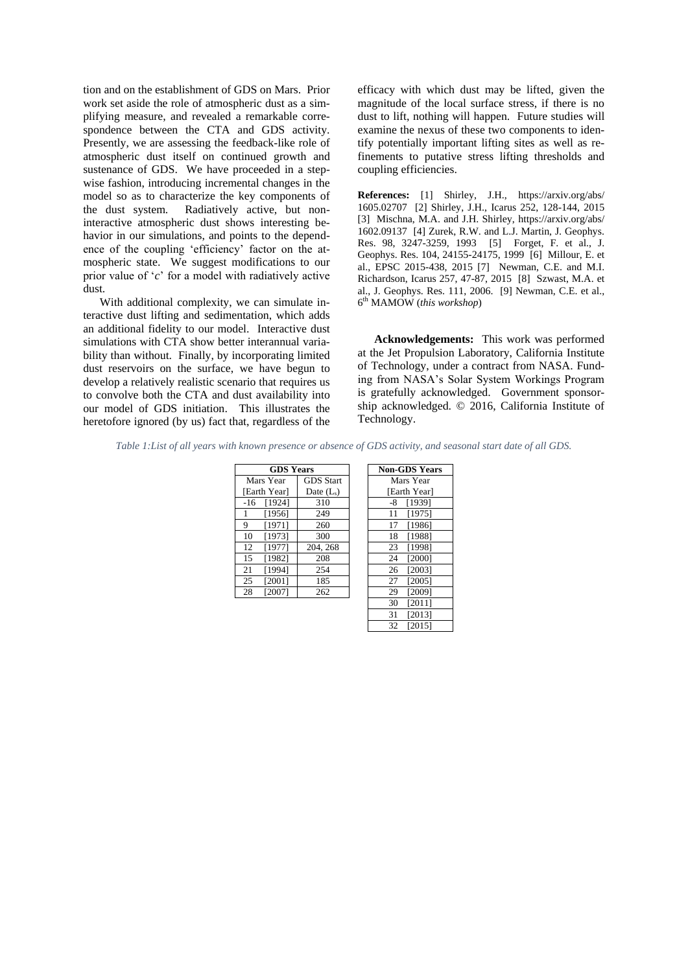tion and on the establishment of GDS on Mars. Prior work set aside the role of atmospheric dust as a simplifying measure, and revealed a remarkable correspondence between the CTA and GDS activity. Presently, we are assessing the feedback-like role of atmospheric dust itself on continued growth and sustenance of GDS. We have proceeded in a stepwise fashion, introducing incremental changes in the model so as to characterize the key components of the dust system. Radiatively active, but noninteractive atmospheric dust shows interesting behavior in our simulations, and points to the dependence of the coupling 'efficiency' factor on the atmospheric state. We suggest modifications to our prior value of '*c*' for a model with radiatively active dust.

With additional complexity, we can simulate interactive dust lifting and sedimentation, which adds an additional fidelity to our model. Interactive dust simulations with CTA show better interannual variability than without. Finally, by incorporating limited dust reservoirs on the surface, we have begun to develop a relatively realistic scenario that requires us to convolve both the CTA and dust availability into our model of GDS initiation. This illustrates the heretofore ignored (by us) fact that, regardless of the

efficacy with which dust may be lifted, given the magnitude of the local surface stress, if there is no dust to lift, nothing will happen. Future studies will examine the nexus of these two components to identify potentially important lifting sites as well as refinements to putative stress lifting thresholds and coupling efficiencies.

**References:** [1] Shirley, J.H., https://arxiv.org/abs/ 1605.02707 [2] Shirley, J.H., Icarus 252, 128-144, 2015 [3] Mischna, M.A. and J.H. Shirley, https://arxiv.org/abs/ 1602.09137 [4] Zurek, R.W. and L.J. Martin, J. Geophys. Res. 98, 3247-3259, 1993 [5] Forget, F. et al., J. Geophys. Res. 104, 24155-24175, 1999 [6] Millour, E. et al., EPSC 2015-438, 2015 [7] Newman, C.E. and M.I. Richardson, Icarus 257, 47-87, 2015 [8] Szwast, M.A. et al., J. Geophys. Res. 111, 2006. [9] Newman, C.E. et al., 6 th MAMOW (*this workshop*)

**Acknowledgements:** This work was performed at the Jet Propulsion Laboratory, California Institute of Technology, under a contract from NASA. Funding from NASA's Solar System Workings Program is gratefully acknowledged. Government sponsorship acknowledged. © 2016, California Institute of Technology.

*Table 1:List of all years with known presence or absence of GDS activity, and seasonal start date of all GDS.*

| <b>GDS Years</b> |                  | Non-GDS Yea  |
|------------------|------------------|--------------|
| Mars Year        | <b>GDS</b> Start | Mars Year    |
| [Earth Year]     | Date $(L_s)$     | [Earth Year] |
| [1924]<br>$-16$  | 310              | [1939]<br>-8 |
| [1956]           | 249              | [1975]<br>11 |
| [1971]<br>9      | 260              | [1986]<br>17 |
| 10<br>[1973]     | 300              | [1988]<br>18 |
| 12<br>[1977]     | 204, 268         | [1998]<br>23 |
| [1982]<br>15     | 208              | [2000]<br>24 |
| [1994]<br>21     | 254              | [2003]<br>26 |
| [2001]<br>25     | 185              | [2005]<br>27 |
| [2007]<br>28     | 262              | [2009]<br>29 |

| <b>GDS Years</b> |                  | <b>Non-GDS Years</b> |
|------------------|------------------|----------------------|
| Year             | <b>GDS</b> Start | Mars Year            |
| Yearl            | Date $(L_s)$     | [Earth Year]         |
| 19241            | 310              | [1939]<br>-8         |
| 19561            | 249              | 11<br>[1975]         |
| 19711            | 260              | [1986]<br>17         |
| 19731            | 300              | 18<br>[1988]         |
| 19771            | 204, 268         | [1998]<br>23         |
| 19821            | 208              | 24<br>[2000]         |
| 19941            | 254              | [2003]<br>26         |
| 20011            | 185              | [2005]<br>27         |
| 20071            | 262              | [2009]<br>29         |
|                  |                  | [2011]<br>30         |
|                  |                  | [2013]<br>31         |
|                  |                  | 32<br>[2015]         |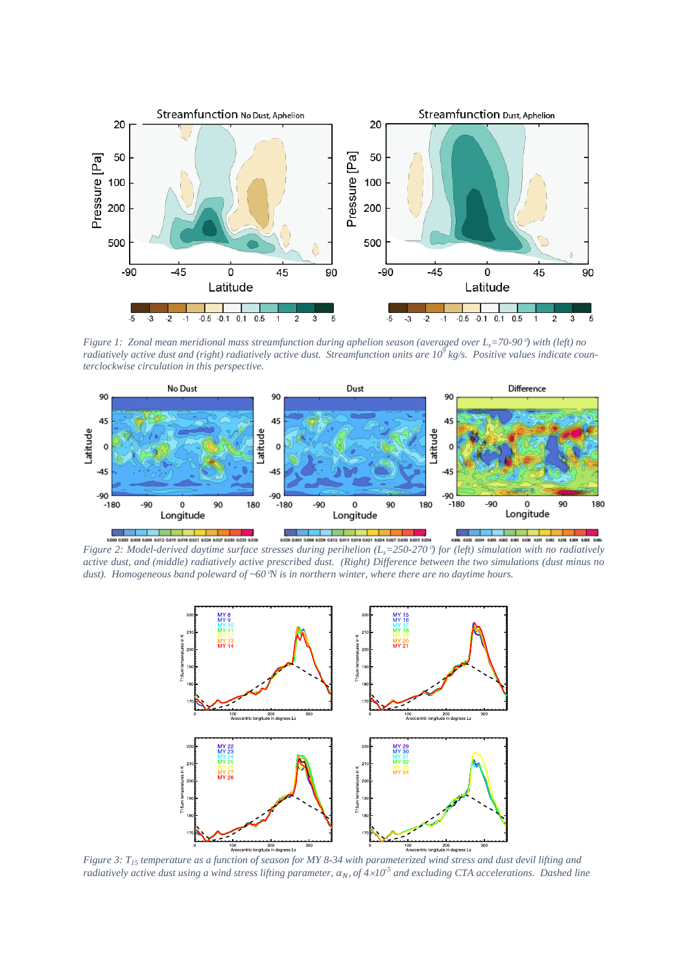

*Figure 1: Zonal mean meridional mass streamfunction during aphelion season (averaged over L<sub>s</sub>=70-90<sup>o</sup>) with (left) no radiatively active dust and (right) radiatively active dust. Streamfunction units are 10<sup>9</sup> kg/s. Positive values indicate counterclockwise circulation in this perspective.*



*Figure 2: Model-derived daytime surface stresses during perihelion (L<sub>i</sub>=250-270<sup>o</sup>) for (left) simulation with no radiatively active dust, and (middle) radiatively active prescribed dust. (Right) Difference between the two simulations (dust minus no dust). Homogeneous band poleward of ~60N is in northern winter, where there are no daytime hours.*



*Figure 3: T<sup>15</sup> temperature as a function of season for MY 8-34 with parameterized wind stress and dust devil lifting and radiatively active dust using a wind stress lifting parameter,*  $\alpha_N$ , of  $4 \times 10^{-5}$  and excluding CTA accelerations. Dashed line